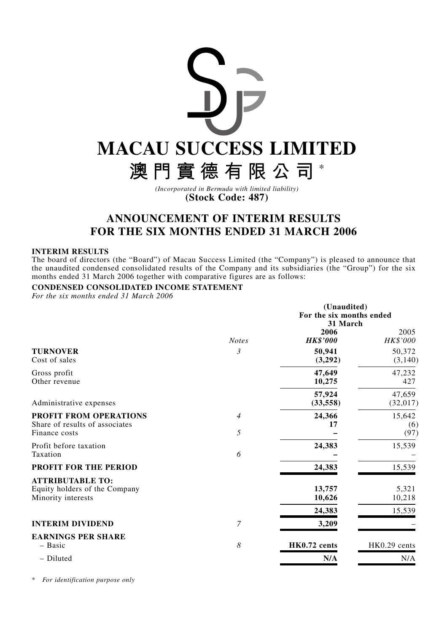

**(Stock Code: 487)**

# **ANNOUNCEMENT OF INTERIM RESULTS FOR THE SIX MONTHS ENDED 31 MARCH 2006**

# **INTERIM RESULTS**

The board of directors (the "Board") of Macau Success Limited (the "Company") is pleased to announce that the unaudited condensed consolidated results of the Company and its subsidiaries (the "Group") for the six months ended 31 March 2006 together with comparative figures are as follows:

# **CONDENSED CONSOLIDATED INCOME STATEMENT**

*For the six months ended 31 March 2006*

|                                                                                |                     | (Unaudited)<br>For the six months ended<br>31 March |                           |
|--------------------------------------------------------------------------------|---------------------|-----------------------------------------------------|---------------------------|
|                                                                                | <b>Notes</b>        | 2006<br><b>HK\$'000</b>                             | 2005<br>HK\$'000          |
| <b>TURNOVER</b><br>Cost of sales                                               | 3                   | 50,941<br>(3,292)                                   | 50,372<br>(3, 140)        |
| Gross profit<br>Other revenue                                                  |                     | 47,649<br>10,275                                    | 47,232<br>427             |
| Administrative expenses                                                        |                     | 57,924<br>(33, 558)                                 | 47,659<br>(32,017)        |
| PROFIT FROM OPERATIONS<br>Share of results of associates<br>Finance costs      | $\overline{4}$<br>5 | 24,366<br>17                                        | 15,642<br>(6)<br>(97)     |
| Profit before taxation<br>Taxation                                             | 6                   | 24,383                                              | 15,539                    |
| PROFIT FOR THE PERIOD                                                          |                     | 24,383                                              | 15,539                    |
| <b>ATTRIBUTABLE TO:</b><br>Equity holders of the Company<br>Minority interests |                     | 13,757<br>10,626<br>24,383                          | 5,321<br>10,218<br>15,539 |
| <b>INTERIM DIVIDEND</b>                                                        | 7                   | 3,209                                               |                           |
| <b>EARNINGS PER SHARE</b><br>- Basic                                           | 8                   | HK0.72 cents                                        | HK0.29 cents              |
| - Diluted                                                                      |                     | N/A                                                 | N/A                       |

\* *For identification purpose only*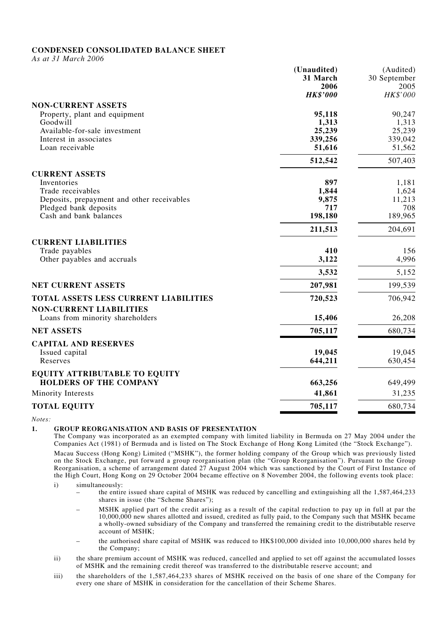# **CONDENSED CONSOLIDATED BALANCE SHEET**

*As at 31 March 2006*

|                                            | (Unaudited)     | (Audited)    |
|--------------------------------------------|-----------------|--------------|
|                                            | 31 March        | 30 September |
|                                            | 2006            | 2005         |
|                                            | <b>HK\$'000</b> | HK\$'000     |
| <b>NON-CURRENT ASSETS</b>                  |                 |              |
| Property, plant and equipment              | 95,118          | 90,247       |
| Goodwill                                   | 1,313           | 1,313        |
| Available-for-sale investment              | 25,239          | 25,239       |
| Interest in associates                     | 339,256         | 339,042      |
| Loan receivable                            | 51,616          | 51,562       |
|                                            | 512,542         | 507,403      |
| <b>CURRENT ASSETS</b>                      |                 |              |
| Inventories                                | 897             | 1,181        |
| Trade receivables                          | 1,844           | 1,624        |
| Deposits, prepayment and other receivables | 9,875           | 11,213       |
| Pledged bank deposits                      | 717             | 708          |
| Cash and bank balances                     | 198,180         | 189,965      |
|                                            | 211,513         | 204,691      |
| <b>CURRENT LIABILITIES</b>                 |                 |              |
| Trade payables                             | 410             | 156          |
| Other payables and accruals                | 3,122           | 4,996        |
|                                            | 3,532           | 5,152        |
| NET CURRENT ASSETS                         | 207,981         | 199,539      |
| TOTAL ASSETS LESS CURRENT LIABILITIES      | 720,523         | 706,942      |
| <b>NON-CURRENT LIABILITIES</b>             |                 |              |
| Loans from minority shareholders           | 15,406          | 26,208       |
| <b>NET ASSETS</b>                          | 705,117         | 680,734      |
| <b>CAPITAL AND RESERVES</b>                |                 |              |
| Issued capital                             | 19,045          | 19,045       |
| Reserves                                   | 644,211         | 630,454      |
| <b>EQUITY ATTRIBUTABLE TO EQUITY</b>       |                 |              |
| <b>HOLDERS OF THE COMPANY</b>              | 663,256         | 649,499      |
| Minority Interests                         | 41,861          | 31,235       |
| <b>TOTAL EQUITY</b>                        | 705,117         | 680,734      |
|                                            |                 |              |

*Notes:*

# **1. GROUP REORGANISATION AND BASIS OF PRESENTATION**

The Company was incorporated as an exempted company with limited liability in Bermuda on 27 May 2004 under the Companies Act (1981) of Bermuda and is listed on The Stock Exchange of Hong Kong Limited (the "Stock Exchange").

Macau Success (Hong Kong) Limited ("MSHK"), the former holding company of the Group which was previously listed on the Stock Exchange, put forward a group reorganisation plan (the "Group Reorganisation"). Pursuant to the Group Reorganisation, a scheme of arrangement dated 27 August 2004 which was sanctioned by the Court of First Instance of the High Court, Hong Kong on 29 October 2004 became effective on 8 November 2004, the following events took place:

i) simultaneously:

- the entire issued share capital of MSHK was reduced by cancelling and extinguishing all the 1,587,464,233 shares in issue (the "Scheme Shares");
- MSHK applied part of the credit arising as a result of the capital reduction to pay up in full at par the 10,000,000 new shares allotted and issued, credited as fully paid, to the Company such that MSHK became a wholly-owned subsidiary of the Company and transferred the remaining credit to the distributable reserve account of MSHK;
- the authorised share capital of MSHK was reduced to HK\$100,000 divided into 10,000,000 shares held by the Company;
- ii) the share premium account of MSHK was reduced, cancelled and applied to set off against the accumulated losses of MSHK and the remaining credit thereof was transferred to the distributable reserve account; and
- iii) the shareholders of the 1,587,464,233 shares of MSHK received on the basis of one share of the Company for every one share of MSHK in consideration for the cancellation of their Scheme Shares.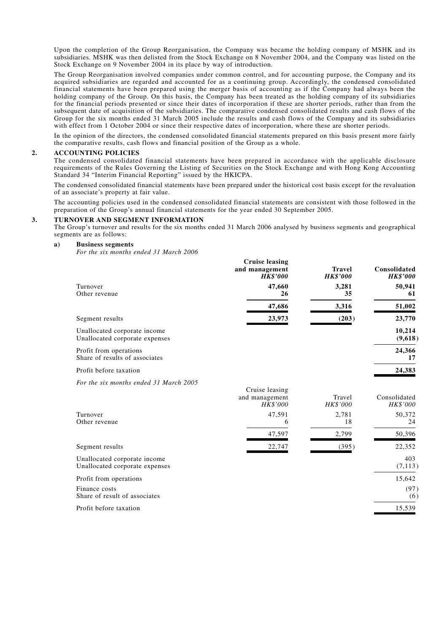Upon the completion of the Group Reorganisation, the Company was became the holding company of MSHK and its subsidiaries. MSHK was then delisted from the Stock Exchange on 8 November 2004, and the Company was listed on the Stock Exchange on 9 November 2004 in its place by way of introduction.

The Group Reorganisation involved companies under common control, and for accounting purpose, the Company and its acquired subsidiaries are regarded and accounted for as a continuing group. Accordingly, the condensed consolidated financial statements have been prepared using the merger basis of accounting as if the Company had always been the holding company of the Group. On this basis, the Company has been treated as the holding company of its subsidiaries for the financial periods presented or since their dates of incorporation if these are shorter periods, rather than from the subsequent date of acquisition of the subsidiaries. The comparative condensed consolidated results and cash flows of the Group for the six months ended 31 March 2005 include the results and cash flows of the Company and its subsidiaries with effect from 1 October 2004 or since their respective dates of incorporation, where these are shorter periods.

In the opinion of the directors, the condensed consolidated financial statements prepared on this basis present more fairly the comparative results, cash flows and financial position of the Group as a whole.

### **2. ACCOUNTING POLICIES**

The condensed consolidated financial statements have been prepared in accordance with the applicable disclosure requirements of the Rules Governing the Listing of Securities on the Stock Exchange and with Hong Kong Accounting Standard 34 "Interim Financial Reporting" issued by the HKICPA.

The condensed consolidated financial statements have been prepared under the historical cost basis except for the revaluation of an associate's property at fair value.

The accounting policies used in the condensed consolidated financial statements are consistent with those followed in the preparation of the Group's annual financial statements for the year ended 30 September 2005.

#### **3. TURNOVER AND SEGMENT INFORMATION**

The Group's turnover and results for the six months ended 31 March 2006 analysed by business segments and geographical segments are as follows:

#### **a) Business segments**

*For the six months ended 31 March 2006*

|                                                                | <b>Cruise leasing</b><br>and management<br><b>HK\$'000</b> | <b>Travel</b><br><b>HK\$'000</b> | Consolidated<br><b>HK\$'000</b> |
|----------------------------------------------------------------|------------------------------------------------------------|----------------------------------|---------------------------------|
| Turnover<br>Other revenue                                      | 47,660<br>26                                               | 3,281<br>35                      | 50,941<br>61                    |
|                                                                | 47,686                                                     | 3,316                            | 51,002                          |
| Segment results                                                | 23,973                                                     | (203)                            | 23,770                          |
| Unallocated corporate income<br>Unallocated corporate expenses |                                                            |                                  | 10,214<br>(9,618)               |
| Profit from operations<br>Share of results of associates       |                                                            |                                  | 24,366<br>17                    |
| Profit before taxation                                         |                                                            |                                  | 24,383                          |
| For the six months ended 31 March 2005                         |                                                            |                                  |                                 |
|                                                                | Cruise leasing<br>and management<br><b>HK\$'000</b>        | Travel<br><b>HK\$'000</b>        | Consolidated<br>HK\$'000        |
| Turnover<br>Other revenue                                      | 47,591<br>6                                                | 2,781<br>18                      | 50,372<br>24                    |
|                                                                | 47,597                                                     | 2,799                            | 50,396                          |
| Segment results                                                | 22,747                                                     | (395)                            | 22,352                          |
| Unallocated corporate income<br>Unallocated corporate expenses |                                                            |                                  | 403<br>(7, 113)                 |
| Profit from operations                                         |                                                            |                                  | 15,642                          |
| Finance costs<br>Share of result of associates                 |                                                            |                                  | (97)<br>(6)                     |
| Profit before taxation                                         |                                                            |                                  | 15,539                          |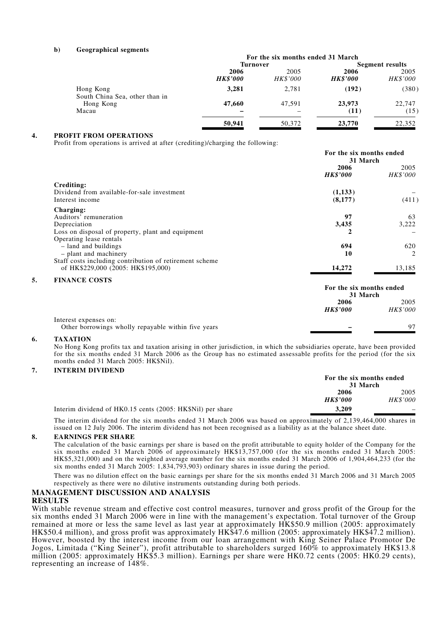#### **b) Geographical segments**

|                                             |                         | For the six months ended 31 March |                         |                  |
|---------------------------------------------|-------------------------|-----------------------------------|-------------------------|------------------|
|                                             | <b>Turnover</b>         |                                   | <b>Segment results</b>  |                  |
|                                             | 2006<br><b>HK\$'000</b> | 2005<br><i>HK\$'000</i>           | 2006<br><b>HK\$'000</b> | 2005<br>HK\$'000 |
| Hong Kong<br>South China Sea, other than in | 3,281                   | 2,781                             | (192)                   | (380)            |
| Hong Kong<br>Macau                          | 47,660                  | 47.591                            | 23,973<br>(11)          | 22,747<br>(15)   |
|                                             | 50,941                  | 50,372                            | 23,770                  | 22,352           |

### **4. PROFIT FROM OPERATIONS**

Profit from operations is arrived at after (crediting)/charging the following:

|    |                                                         | For the six months ended<br>31 March |                         |
|----|---------------------------------------------------------|--------------------------------------|-------------------------|
|    |                                                         | 2006<br><b>HK\$'000</b>              | 2005<br><i>HK\$'000</i> |
|    | Crediting:                                              |                                      |                         |
|    | Dividend from available-for-sale investment             | (1,133)                              |                         |
|    | Interest income                                         | (8,177)                              | (411)                   |
|    | Charging:                                               |                                      |                         |
|    | Auditors' remuneration                                  | 97                                   | 63                      |
|    | Depreciation                                            | 3,435                                | 3,222                   |
|    | Loss on disposal of property, plant and equipment       | 2                                    |                         |
|    | Operating lease rentals                                 |                                      |                         |
|    | - land and buildings                                    | 694                                  | 620                     |
|    | - plant and machinery                                   | 10                                   | 2                       |
|    | Staff costs including contribution of retirement scheme |                                      |                         |
|    | of HK\$229,000 (2005: HK\$195,000)                      | 14,272                               | 13,185                  |
| 5. | <b>FINANCE COSTS</b>                                    |                                      |                         |
|    |                                                         | For the six months ended             |                         |
|    |                                                         | 31 March                             |                         |
|    |                                                         | 2006                                 | 2005                    |
|    |                                                         | <b>HK\$'000</b>                      | <b>HK\$'000</b>         |

Interest expenses on:

Other borrowings wholly repayable within five years **–** 97

#### **6. TAXATION**

No Hong Kong profits tax and taxation arising in other jurisdiction, in which the subsidiaries operate, have been provided for the six months ended 31 March 2006 as the Group has no estimated assessable profits for the period (for the six months ended 31 March 2005: HK\$Nil).

#### **7. INTERIM DIVIDEND**

|                                                            | For the six months ended<br>31 March |                 |
|------------------------------------------------------------|--------------------------------------|-----------------|
|                                                            | 2006                                 | 2005            |
|                                                            | <b>HK\$'000</b>                      | <b>HK\$'000</b> |
| Interim dividend of HK0.15 cents (2005: HK\$Nil) per share | 3.209                                |                 |

The interim dividend for the six months ended 31 March 2006 was based on approximately of 2,139,464,000 shares in issued on 12 July 2006. The interim dividend has not been recognised as a liability as at the balance sheet date.

#### **8. EARNINGS PER SHARE**

The calculation of the basic earnings per share is based on the profit attributable to equity holder of the Company for the six months ended 31 March 2006 of approximately HK\$13,757,000 (for the six months ended 31 March 2005: HK\$5,321,000) and on the weighted average number for the six months ended 31 March 2006 of 1,904,464,233 (for the six months ended 31 March 2005: 1,834,793,903) ordinary shares in issue during the period.

There was no dilution effect on the basic earnings per share for the six months ended 31 March 2006 and 31 March 2005 respectively as there were no dilutive instruments outstanding during both periods.

# **MANAGEMENT DISCUSSION AND ANALYSIS**

# **RESULTS**

With stable revenue stream and effective cost control measures, turnover and gross profit of the Group for the six months ended 31 March 2006 were in line with the management's expectation. Total turnover of the Group remained at more or less the same level as last year at approximately HK\$50.9 million (2005: approximately HK\$50.4 million), and gross profit was approximately HK\$47.6 million (2005: approximately HK\$47.2 million). However, boosted by the interest income from our loan arrangement with King Seiner Palace Promotor De Jogos, Limitada ("King Seiner"), profit attributable to shareholders surged 160% to approximately HK\$13.8 million (2005: approximately HK\$5.3 million). Earnings per share were HK0.72 cents (2005: HK0.29 cents), representing an increase of 148%.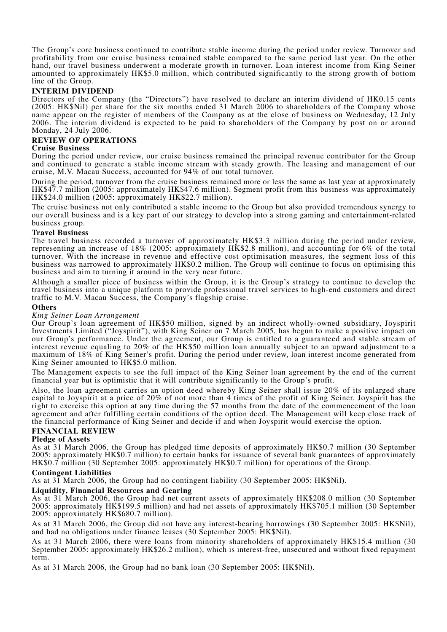The Group's core business continued to contribute stable income during the period under review. Turnover and profitability from our cruise business remained stable compared to the same period last year. On the other hand, our travel business underwent a moderate growth in turnover. Loan interest income from King Seiner amounted to approximately HK\$5.0 million, which contributed significantly to the strong growth of bottom line of the Group.

## **INTERIM DIVIDEND**

Directors of the Company (the "Directors") have resolved to declare an interim dividend of HK0.15 cents (2005: HK\$Nil) per share for the six months ended 31 March 2006 to shareholders of the Company whose name appear on the register of members of the Company as at the close of business on Wednesday, 12 July 2006. The interim dividend is expected to be paid to shareholders of the Company by post on or around Monday, 24 July 2006.

## **REVIEW OF OPERATIONS**

### **Cruise Business**

During the period under review, our cruise business remained the principal revenue contributor for the Group and continued to generate a stable income stream with steady growth. The leasing and management of our cruise, M.V. Macau Success, accounted for 94% of our total turnover.

During the period, turnover from the cruise business remained more or less the same as last year at approximately HK\$47.7 million (2005: approximately HK\$47.6 million). Segment profit from this business was approximately HK\$24.0 million (2005: approximately HK\$22.7 million).

The cruise business not only contributed a stable income to the Group but also provided tremendous synergy to our overall business and is a key part of our strategy to develop into a strong gaming and entertainment-related business group.

### **Travel Business**

The travel business recorded a turnover of approximately HK\$3.3 million during the period under review, representing an increase of 18% (2005: approximately HK\$2.8 million), and accounting for 6% of the total turnover. With the increase in revenue and effective cost optimisation measures, the segment loss of this business was narrowed to approximately HK\$0.2 million. The Group will continue to focus on optimising this business and aim to turning it around in the very near future.

Although a smaller piece of business within the Group, it is the Group's strategy to continue to develop the travel business into a unique platform to provide professional travel services to high-end customers and direct traffic to M.V. Macau Success, the Company's flagship cruise.

### **Others**

### *King Seiner Loan Arrangement*

Our Group's loan agreement of HK\$50 million, signed by an indirect wholly-owned subsidiary, Joyspirit Investments Limited ("Joyspirit"), with King Seiner on 7 March 2005, has begun to make a positive impact on our Group's performance. Under the agreement, our Group is entitled to a guaranteed and stable stream of interest revenue equaling to 20% of the HK\$50 million loan annually subject to an upward adjustment to a maximum of 18% of King Seiner's profit. During the period under review, loan interest income generated from King Seiner amounted to HK\$5.0 million.

The Management expects to see the full impact of the King Seiner loan agreement by the end of the current financial year but is optimistic that it will contribute significantly to the Group's profit.

Also, the loan agreement carries an option deed whereby King Seiner shall issue 20% of its enlarged share capital to Joyspirit at a price of 20% of not more than 4 times of the profit of King Seiner. Joyspirit has the right to exercise this option at any time during the 57 months from the date of the commencement of the loan agreement and after fulfilling certain conditions of the option deed. The Management will keep close track of the financial performance of King Seiner and decide if and when Joyspirit would exercise the option.

# **FINANCIAL REVIEW**

# **Pledge of Assets**

As at 31 March 2006, the Group has pledged time deposits of approximately HK\$0.7 million (30 September 2005: approximately HK\$0.7 million) to certain banks for issuance of several bank guarantees of approximately HK\$0.7 million (30 September 2005: approximately HK\$0.7 million) for operations of the Group.

# **Contingent Liabilities**

As at 31 March 2006, the Group had no contingent liability (30 September 2005: HK\$Nil).

# **Liquidity, Financial Resources and Gearing**

As at 31 March 2006, the Group had net current assets of approximately HK\$208.0 million (30 September 2005: approximately HK\$199.5 million) and had net assets of approximately HK\$705.1 million (30 September 2005: approximately HK\$680.7 million).

As at 31 March 2006, the Group did not have any interest-bearing borrowings (30 September 2005: HK\$Nil), and had no obligations under finance leases (30 September 2005: HK\$Nil).

As at 31 March 2006, there were loans from minority shareholders of approximately HK\$15.4 million (30 September 2005: approximately HK\$26.2 million), which is interest-free, unsecured and without fixed repayment term.

As at 31 March 2006, the Group had no bank loan (30 September 2005: HK\$Nil).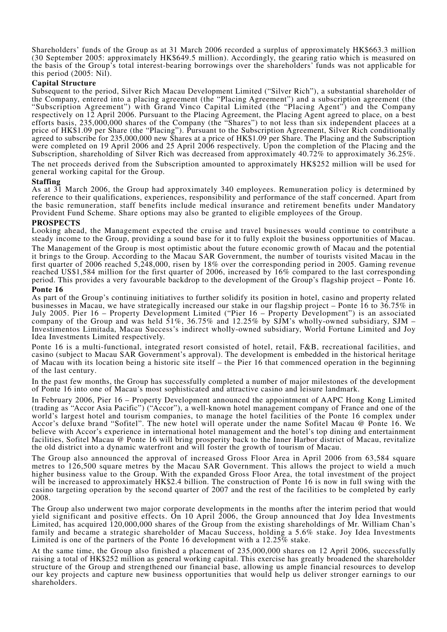Shareholders' funds of the Group as at 31 March 2006 recorded a surplus of approximately HK\$663.3 million (30 September 2005: approximately HK\$649.5 million). Accordingly, the gearing ratio which is measured on the basis of the Group's total interest-bearing borrowings over the shareholders' funds was not applicable for this period (2005: Nil).

# **Capital Structure**

Subsequent to the period, Silver Rich Macau Development Limited ("Silver Rich"), a substantial shareholder of the Company, entered into a placing agreement (the "Placing Agreement") and a subscription agreement (the "Subscription Agreement") with Grand Vinco Capital Limited (the "Placing Agent") and the Company respectively on 12 April 2006. Pursuant to the Placing Agreement, the Placing Agent agreed to place, on a best efforts basis, 235,000,000 shares of the Company (the "Shares") to not less than six independent placees at a price of HK\$1.09 per Share (the "Placing"). Pursuant to the Subscription Agreement, Silver Rich conditionally agreed to subscribe for 235,000,000 new Shares at a price of HK\$1.09 per Share. The Placing and the Subscription were completed on 19 April 2006 and 25 April 2006 respectively. Upon the completion of the Placing and the Subscription, shareholding of Silver Rich was decreased from approximately 40.72% to approximately 36.25%.

The net proceeds derived from the Subscription amounted to approximately HK\$252 million will be used for general working capital for the Group.

# **Staffing**

As at 31 March 2006, the Group had approximately 340 employees. Remuneration policy is determined by reference to their qualifications, experiences, responsibility and performance of the staff concerned. Apart from the basic remuneration, staff benefits include medical insurance and retirement benefits under Mandatory Provident Fund Scheme. Share options may also be granted to eligible employees of the Group.

# **PROSPECTS**

Looking ahead, the Management expected the cruise and travel businesses would continue to contribute a steady income to the Group, providing a sound base for it to fully exploit the business opportunities of Macau. The Management of the Group is most optimistic about the future economic growth of Macau and the potential it brings to the Group. According to the Macau SAR Government, the number of tourists visited Macau in the

first quarter of 2006 reached 5,248,000, risen by 18% over the corresponding period in 2005. Gaming revenue reached US\$1,584 million for the first quarter of 2006, increased by 16% compared to the last corresponding period. This provides a very favourable backdrop to the development of the Group's flagship project – Ponte 16. **Ponte 16**

As part of the Group's continuing initiatives to further solidify its position in hotel, casino and property related businesses in Macau, we have strategically increased our stake in our flagship project – Ponte 16 to 36.75% in July 2005. Pier 16 – Property Development Limited ("Pier 16 – Property Development") is an associated company of the Group and was held 51%, 36.75% and 12.25% by SJM's wholly-owned subsidiary, SJM – Investimentos Limitada, Macau Success's indirect wholly-owned subsidiary, World Fortune Limited and Joy Idea Investments Limited respectively.

Ponte 16 is a multi-functional, integrated resort consisted of hotel, retail, F&B, recreational facilities, and casino (subject to Macau SAR Government's approval). The development is embedded in the historical heritage of Macau with its location being a historic site itself – the Pier 16 that commenced operation in the beginning of the last century.

In the past few months, the Group has successfully completed a number of major milestones of the development of Ponte 16 into one of Macau's most sophisticated and attractive casino and leisure landmark.

In February 2006, Pier 16 – Property Development announced the appointment of AAPC Hong Kong Limited (trading as "Accor Asia Pacific") ("Accor"), a well-known hotel management company of France and one of the world's largest hotel and tourism companies, to manage the hotel facilities of the Ponte 16 complex under Accor's deluxe brand "Sofitel". The new hotel will operate under the name Sofitel Macau @ Ponte 16. We believe with Accor's experience in international hotel management and the hotel's top dining and entertainment facilities, Sofitel Macau @ Ponte 16 will bring prosperity back to the Inner Harbor district of Macau, revitalize the old district into a dynamic waterfront and will foster the growth of tourism of Macau.

The Group also announced the approval of increased Gross Floor Area in April 2006 from 63,584 square metres to 126,500 square metres by the Macau SAR Government. This allows the project to wield a much higher business value to the Group. With the expanded Gross Floor Area, the total investment of the project will be increased to approximately HK\$2.4 billion. The construction of Ponte 16 is now in full swing with the casino targeting operation by the second quarter of 2007 and the rest of the facilities to be completed by early 2008.

The Group also underwent two major corporate developments in the months after the interim period that would yield significant and positive effects. On 10 April 2006, the Group announced that Joy Idea Investments Limited, has acquired 120,000,000 shares of the Group from the existing shareholdings of Mr. William Chan's family and became a strategic shareholder of Macau Success, holding a 5.6% stake. Joy Idea Investments Limited is one of the partners of the Ponte 16 development with a 12.25% stake.

At the same time, the Group also finished a placement of 235,000,000 shares on 12 April 2006, successfully raising a total of HK\$252 million as general working capital. This exercise has greatly broadened the shareholder structure of the Group and strengthened our financial base, allowing us ample financial resources to develop our key projects and capture new business opportunities that would help us deliver stronger earnings to our shareholders.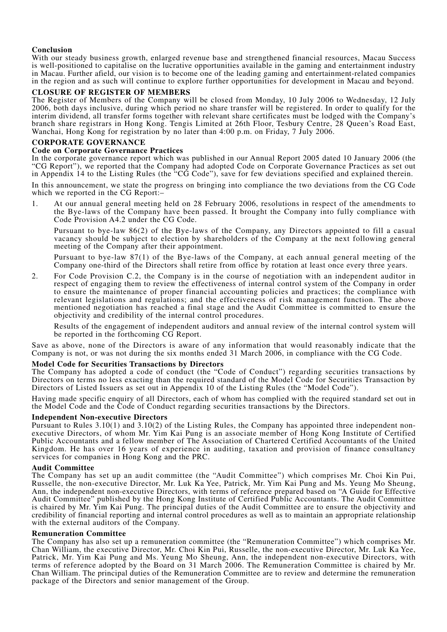# **Conclusion**

With our steady business growth, enlarged revenue base and strengthened financial resources, Macau Success is well-positioned to capitalise on the lucrative opportunities available in the gaming and entertainment industry in Macau. Further afield, our vision is to become one of the leading gaming and entertainment-related companies in the region and as such will continue to explore further opportunities for development in Macau and beyond.

# **CLOSURE OF REGISTER OF MEMBERS**

The Register of Members of the Company will be closed from Monday, 10 July 2006 to Wednesday, 12 July 2006, both days inclusive, during which period no share transfer will be registered. In order to qualify for the interim dividend, all transfer forms together with relevant share certificates must be lodged with the Company's branch share registrars in Hong Kong. Tengis Limited at 26th Floor, Tesbury Centre, 28 Queen's Road East, Wanchai, Hong Kong for registration by no later than 4:00 p.m. on Friday, 7 July 2006.

# **CORPORATE GOVERNANCE**

# **Code on Corporate Governance Practices**

In the corporate governance report which was published in our Annual Report 2005 dated 10 January 2006 (the "CG Report"), we reported that the Company had adopted Code on Corporate Governance Practices as set out in Appendix 14 to the Listing Rules (the "CG Code"), save for few deviations specified and explained therein.

In this announcement, we state the progress on bringing into compliance the two deviations from the CG Code which we reported in the CG Report:-

1. At our annual general meeting held on 28 February 2006, resolutions in respect of the amendments to the Bye-laws of the Company have been passed. It brought the Company into fully compliance with Code Provision A4.2 under the CG Code.

Pursuant to bye-law 86(2) of the Bye-laws of the Company, any Directors appointed to fill a casual vacancy should be subject to election by shareholders of the Company at the next following general meeting of the Company after their appointment.

Pursuant to bye-law 87(1) of the Bye-laws of the Company, at each annual general meeting of the Company one-third of the Directors shall retire from office by rotation at least once every three years.

2. For Code Provision C.2, the Company is in the course of negotiation with an independent auditor in respect of engaging them to review the effectiveness of internal control system of the Company in order to ensure the maintenance of proper financial accounting policies and practices; the compliance with relevant legislations and regulations; and the effectiveness of risk management function. The above mentioned negotiation has reached a final stage and the Audit Committee is committed to ensure the objectivity and credibility of the internal control procedures.

Results of the engagement of independent auditors and annual review of the internal control system will be reported in the forthcoming CG Report.

Save as above, none of the Directors is aware of any information that would reasonably indicate that the Company is not, or was not during the six months ended 31 March 2006, in compliance with the CG Code.

# **Model Code for Securities Transactions by Directors**

The Company has adopted a code of conduct (the "Code of Conduct") regarding securities transactions by Directors on terms no less exacting than the required standard of the Model Code for Securities Transaction by Directors of Listed Issuers as set out in Appendix 10 of the Listing Rules (the "Model Code").

Having made specific enquiry of all Directors, each of whom has complied with the required standard set out in the Model Code and the Code of Conduct regarding securities transactions by the Directors.

# **Independent Non-executive Directors**

Pursuant to Rules 3.10(1) and 3.10(2) of the Listing Rules, the Company has appointed three independent nonexecutive Directors, of whom Mr. Yim Kai Pung is an associate member of Hong Kong Institute of Certified Public Accountants and a fellow member of The Association of Chartered Certified Accountants of the United Kingdom. He has over 16 years of experience in auditing, taxation and provision of finance consultancy services for companies in Hong Kong and the PRC.

# **Audit Committee**

The Company has set up an audit committee (the "Audit Committee") which comprises Mr. Choi Kin Pui, Russelle, the non-executive Director, Mr. Luk Ka Yee, Patrick, Mr. Yim Kai Pung and Ms. Yeung Mo Sheung, Ann, the independent non-executive Directors, with terms of reference prepared based on "A Guide for Effective Audit Committee" published by the Hong Kong Institute of Certified Public Accountants. The Audit Committee is chaired by Mr. Yim Kai Pung. The principal duties of the Audit Committee are to ensure the objectivity and credibility of financial reporting and internal control procedures as well as to maintain an appropriate relationship with the external auditors of the Company.

# **Remuneration Committee**

The Company has also set up a remuneration committee (the "Remuneration Committee") which comprises Mr. Chan William, the executive Director, Mr. Choi Kin Pui, Russelle, the non-executive Director, Mr. Luk Ka Yee, Patrick, Mr. Yim Kai Pung and Ms. Yeung Mo Sheung, Ann, the independent non-executive Directors, with terms of reference adopted by the Board on 31 March 2006. The Remuneration Committee is chaired by Mr. Chan William. The principal duties of the Remuneration Committee are to review and determine the remuneration package of the Directors and senior management of the Group.